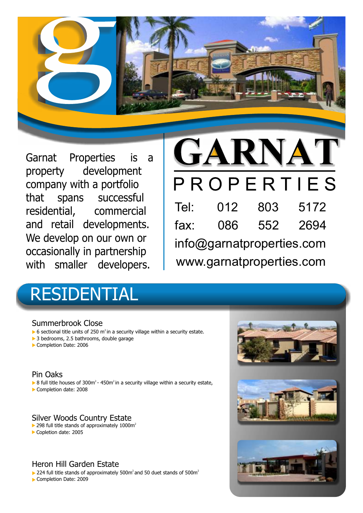

Garnat Properties is a property development company with a portfolio that spans successful residential, commercial and retail developments. We develop on our own or occasionally in partnership with smaller developers.

# GARNAT PROPERTIES

| Tel:                      | 012 | 803 | 5172 |
|---------------------------|-----|-----|------|
| fax:                      | 086 | 552 | 2694 |
| info@garnatproperties.com |     |     |      |
| www.garnatproperties.com  |     |     |      |

# RESIDENTIAL

# Summerbrook Close

- $\triangleright$  6 sectional title units of 250 m<sup>2</sup> in a security village within a security estate.
- ▶ 3 bedrooms, 2.5 bathrooms, double garage
- Completion Date: 2006

# Pin Oaks

- $\triangleright$  8 full title houses of 300m<sup>2</sup> 450m<sup>2</sup> in a security village within a security estate,
- Completion date: 2008

# Silver Woods Country Estate

- $\triangleright$  298 full title stands of approximately 1000m<sup>2</sup>
- Copletion date: 2005

# Heron Hill Garden Estate

 $\triangleright$  224 full title stands of approximately 500m<sup>2</sup> and 50 duet stands of 500m<sup>2</sup>

Completion Date: 2009

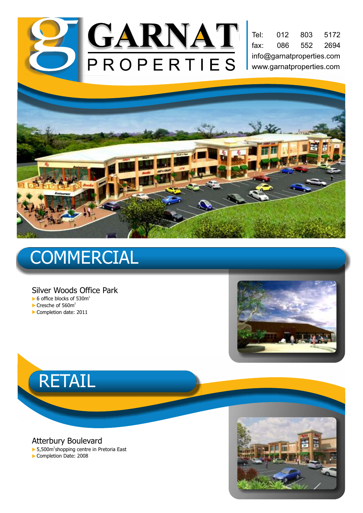

fax: 086 552 2694 info@garnatproperties.com www.garnatproperties.com Tel: 012 803 5172



# **COMMERCIAL**

#### Silver Woods Office Park

- $\triangleright$  6 office blocks of 530m<sup>2</sup>
- $\blacktriangleright$  Cresche of 560m<sup>2</sup>
- Completion date: 2011





Atterbury Boulevard

▶ 5,500m<sup>2</sup>shopping centre in Pretoria East Completion Date: 2008